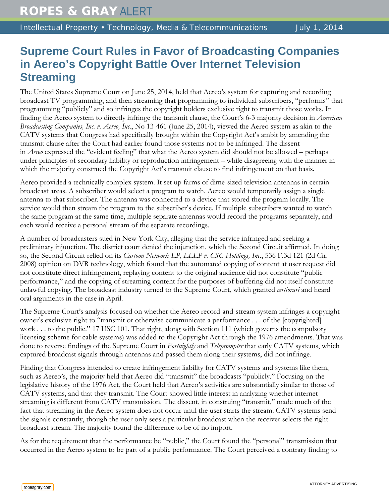## **Supreme Court Rules in Favor of Broadcasting Companies in Aereo's Copyright Battle Over Internet Television Streaming**

The United States Supreme Court on June 25, 2014, held that Aereo's system for capturing and recording broadcast TV programming, and then streaming that programming to individual subscribers, "performs" that programming "publicly" and so infringes the copyright holders exclusive right to transmit those works. In finding the Aereo system to directly infringe the transmit clause, the Court's 6-3 majority decision in *American Broadcasting Companies, Inc. v. Aereo, Inc.*, No 13-461 (June 25, 2014), viewed the Aereo system as akin to the CATV systems that Congress had specifically brought within the Copyright Act's ambit by amending the transmit clause after the Court had earlier found those systems not to be infringed. The dissent in *Aereo* expressed the "evident feeling" that what the Aereo system did should not be allowed – perhaps under principles of secondary liability or reproduction infringement – while disagreeing with the manner in which the majority construed the Copyright Act's transmit clause to find infringement on that basis.

Aereo provided a technically complex system. It set up farms of dime-sized television antennas in certain broadcast areas. A subscriber would select a program to watch. Aereo would temporarily assign a single antenna to that subscriber. The antenna was connected to a device that stored the program locally. The service would then stream the program to the subscriber's device. If multiple subscribers wanted to watch the same program at the same time, multiple separate antennas would record the programs separately, and each would receive a personal stream of the separate recordings.

A number of broadcasters sued in New York City, alleging that the service infringed and seeking a preliminary injunction. The district court denied the injunction, which the Second Circuit affirmed. In doing so, the Second Circuit relied on its *Cartoon Network LP, LLLP v. CSC Holdings, Inc.*, 536 F.3d 121 (2d Cir. 2008) opinion on DVR technology, which found that the automated copying of content at user request did not constitute direct infringement, replaying content to the original audience did not constitute "public performance," and the copying of streaming content for the purposes of buffering did not itself constitute unlawful copying. The broadcast industry turned to the Supreme Court, which granted *certiorari* and heard oral arguments in the case in April.

The Supreme Court's analysis focused on whether the Aereo record-and-stream system infringes a copyright owner's exclusive right to "transmit or otherwise communicate a performance . . . of the [copyrighted] work . . . to the public." 17 USC 101. That right, along with Section 111 (which governs the compulsory licensing scheme for cable systems) was added to the Copyright Act through the 1976 amendments. That was done to reverse findings of the Supreme Court in *Fortnightly* and *Teleprompter* that early CATV systems, which captured broadcast signals through antennas and passed them along their systems, did not infringe.

Finding that Congress intended to create infringement liability for CATV systems and systems like them, such as Aereo's, the majority held that Aereo did "transmit" the broadcasts "publicly." Focusing on the legislative history of the 1976 Act, the Court held that Aereo's activities are substantially similar to those of CATV systems, and that they transmit. The Court showed little interest in analyzing whether internet streaming is different from CATV transmission. The dissent, in construing "transmit," made much of the fact that streaming in the Aereo system does not occur until the user starts the stream. CATV systems send the signals constantly, though the user only sees a particular broadcast when the receiver selects the right broadcast stream. The majority found the difference to be of no import.

As for the requirement that the performance be "public," the Court found the "personal" transmission that occurred in the Aereo system to be part of a public performance. The Court perceived a contrary finding to